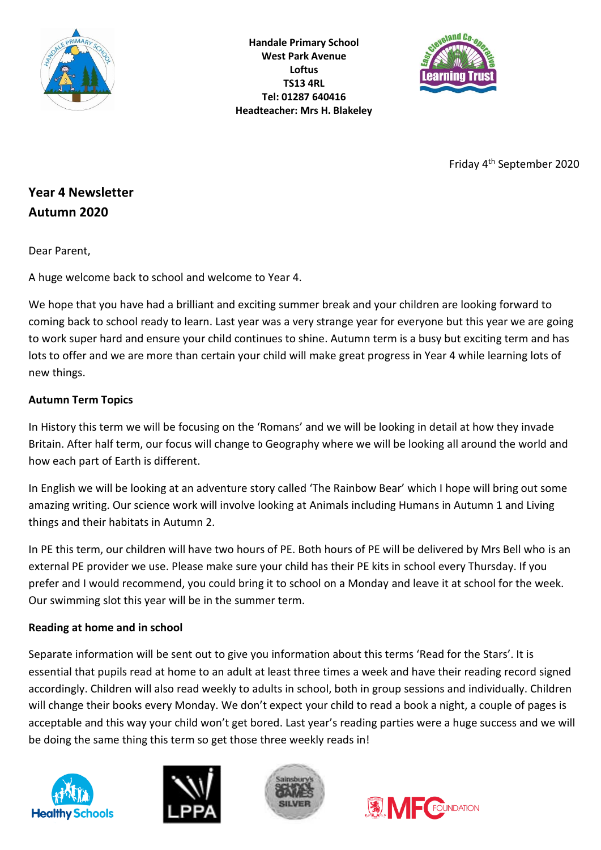

**Handale Primary School West Park Avenue Loftus TS13 4RL Tel: 01287 640416 Headteacher: Mrs H. Blakeley**



Friday 4th September 2020

# **Year 4 Newsletter Autumn 2020**

Dear Parent,

A huge welcome back to school and welcome to Year 4.

We hope that you have had a brilliant and exciting summer break and your children are looking forward to coming back to school ready to learn. Last year was a very strange year for everyone but this year we are going to work super hard and ensure your child continues to shine. Autumn term is a busy but exciting term and has lots to offer and we are more than certain your child will make great progress in Year 4 while learning lots of new things.

## **Autumn Term Topics**

In History this term we will be focusing on the 'Romans' and we will be looking in detail at how they invade Britain. After half term, our focus will change to Geography where we will be looking all around the world and how each part of Earth is different.

In English we will be looking at an adventure story called 'The Rainbow Bear' which I hope will bring out some amazing writing. Our science work will involve looking at Animals including Humans in Autumn 1 and Living things and their habitats in Autumn 2.

In PE this term, our children will have two hours of PE. Both hours of PE will be delivered by Mrs Bell who is an external PE provider we use. Please make sure your child has their PE kits in school every Thursday. If you prefer and I would recommend, you could bring it to school on a Monday and leave it at school for the week. Our swimming slot this year will be in the summer term.

## **Reading at home and in school**

Separate information will be sent out to give you information about this terms 'Read for the Stars'. It is essential that pupils read at home to an adult at least three times a week and have their reading record signed accordingly. Children will also read weekly to adults in school, both in group sessions and individually. Children will change their books every Monday. We don't expect your child to read a book a night, a couple of pages is acceptable and this way your child won't get bored. Last year's reading parties were a huge success and we will be doing the same thing this term so get those three weekly reads in!